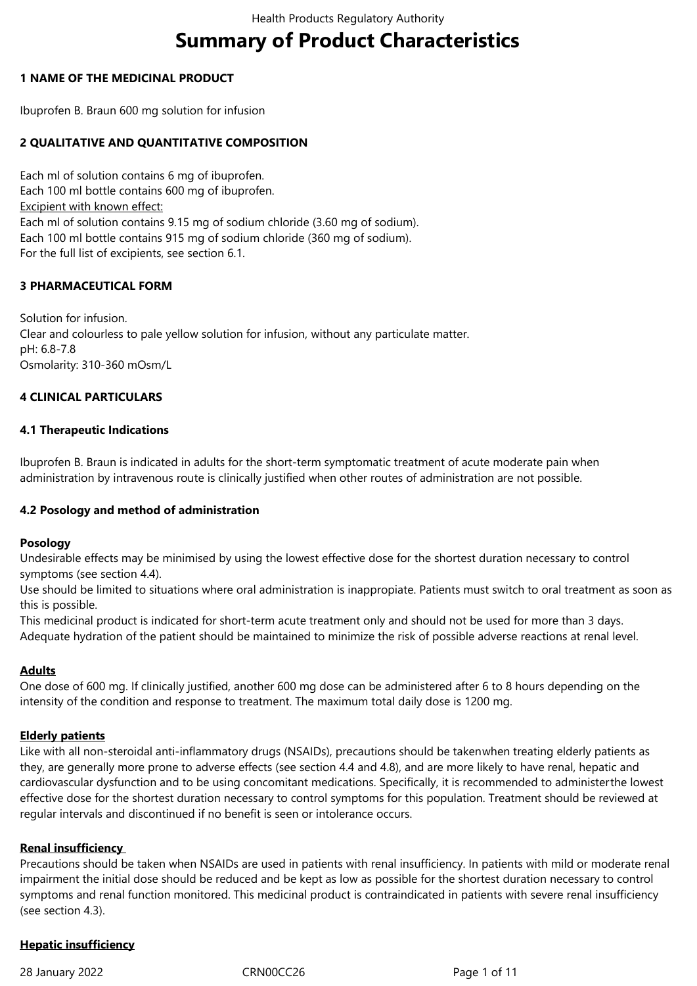# **Summary of Product Characteristics**

### **1 NAME OF THE MEDICINAL PRODUCT**

Ibuprofen B. Braun 600 mg solution for infusion

### **2 QUALITATIVE AND QUANTITATIVE COMPOSITION**

Each ml of solution contains 6 mg of ibuprofen. Each 100 ml bottle contains 600 mg of ibuprofen. Excipient with known effect: Each ml of solution contains 9.15 mg of sodium chloride (3.60 mg of sodium). Each 100 ml bottle contains 915 mg of sodium chloride (360 mg of sodium). For the full list of excipients, see section 6.1.

### **3 PHARMACEUTICAL FORM**

Solution for infusion. Clear and colourless to pale yellow solution for infusion, without any particulate matter. pH: 6.8-7.8 Osmolarity: 310-360 mOsm/L

### **4 CLINICAL PARTICULARS**

### **4.1 Therapeutic Indications**

Ibuprofen B. Braun is indicated in adults for the short-term symptomatic treatment of acute moderate pain when administration by intravenous route is clinically justified when other routes of administration are not possible.

### **4.2 Posology and method of administration**

### **Posology**

Undesirable effects may be minimised by using the lowest effective dose for the shortest duration necessary to control symptoms (see section 4.4).

Use should be limited to situations where oral administration is inappropiate. Patients must switch to oral treatment as soon as this is possible.

This medicinal product is indicated for short-term acute treatment only and should not be used for more than 3 days. Adequate hydration of the patient should be maintained to minimize the risk of possible adverse reactions at renal level.

### **Adults**

One dose of 600 mg. If clinically justified, another 600 mg dose can be administered after 6 to 8 hours depending on the intensity of the condition and response to treatment. The maximum total daily dose is 1200 mg.

### **Elderly patients**

Like with all non-steroidal anti-inflammatory drugs (NSAIDs), precautions should be takenwhen treating elderly patients as they, are generally more prone to adverse effects (see section 4.4 and 4.8), and are more likely to have renal, hepatic and cardiovascular dysfunction and to be using concomitant medications. Specifically, it is recommended to administerthe lowest effective dose for the shortest duration necessary to control symptoms for this population. Treatment should be reviewed at regular intervals and discontinued if no benefit is seen or intolerance occurs.

### **Renal insufficiency**

Precautions should be taken when NSAIDs are used in patients with renal insufficiency. In patients with mild or moderate renal impairment the initial dose should be reduced and be kept as low as possible for the shortest duration necessary to control symptoms and renal function monitored. This medicinal product is contraindicated in patients with severe renal insufficiency (see section 4.3).

### **Hepatic insufficiency**

28 January 2022 CRN00CC26 Page 1 of 11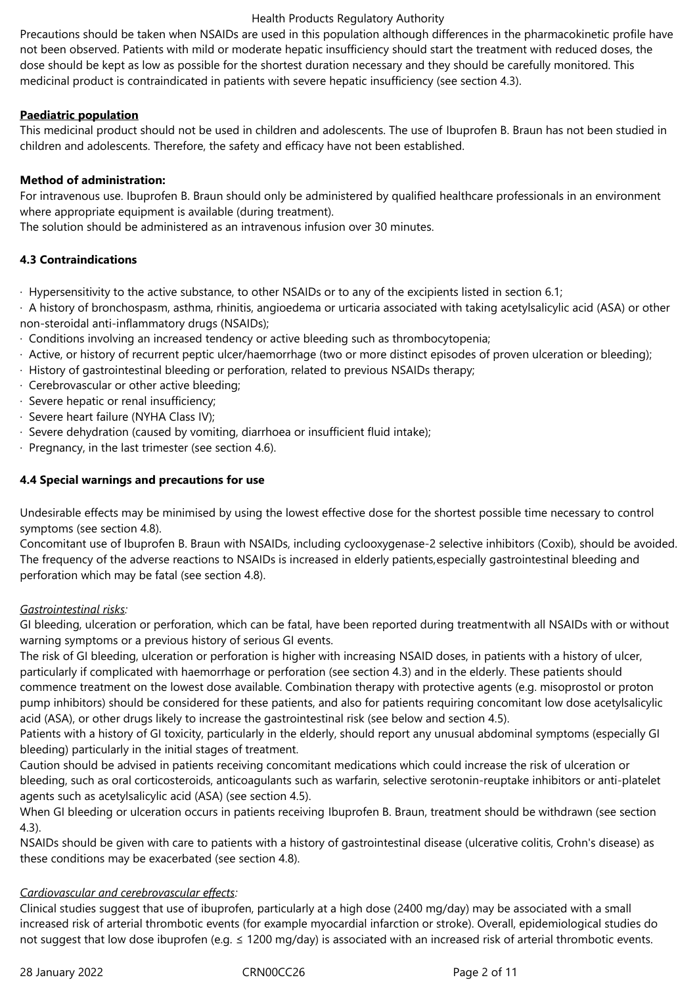Precautions should be taken when NSAIDs are used in this population although differences in the pharmacokinetic profile have not been observed. Patients with mild or moderate hepatic insufficiency should start the treatment with reduced doses, the dose should be kept as low as possible for the shortest duration necessary and they should be carefully monitored. This medicinal product is contraindicated in patients with severe hepatic insufficiency (see section 4.3).

# **Paediatric population**

This medicinal product should not be used in children and adolescents. The use of Ibuprofen B. Braun has not been studied in children and adolescents. Therefore, the safety and efficacy have not been established.

# **Method of administration:**

For intravenous use. Ibuprofen B. Braun should only be administered by qualified healthcare professionals in an environment where appropriate equipment is available (during treatment).

The solution should be administered as an intravenous infusion over 30 minutes.

# **4.3 Contraindications**

· Hypersensitivity to the active substance, to other NSAIDs or to any of the excipients listed in section 6.1;

· A history of bronchospasm, asthma, rhinitis, angioedema or urticaria associated with taking acetylsalicylic acid (ASA) or other non-steroidal anti-inflammatory drugs (NSAIDs);

- · Conditions involving an increased tendency or active bleeding such as thrombocytopenia;
- · Active, or history of recurrent peptic ulcer/haemorrhage (two or more distinct episodes of proven ulceration or bleeding);
- · History of gastrointestinal bleeding or perforation, related to previous NSAIDs therapy;
- · Cerebrovascular or other active bleeding;
- · Severe hepatic or renal insufficiency;
- · Severe heart failure (NYHA Class IV);
- · Severe dehydration (caused by vomiting, diarrhoea or insufficient fluid intake);
- · Pregnancy, in the last trimester (see section 4.6).

# **4.4 Special warnings and precautions for use**

Undesirable effects may be minimised by using the lowest effective dose for the shortest possible time necessary to control symptoms (see section 4.8).

Concomitant use of Ibuprofen B. Braun with NSAIDs, including cyclooxygenase-2 selective inhibitors (Coxib), should be avoided. The frequency of the adverse reactions to NSAIDs is increased in elderly patients,especially gastrointestinal bleeding and perforation which may be fatal (see section 4.8).

# *Gastrointestinal risks:*

GI bleeding, ulceration or perforation, which can be fatal, have been reported during treatmentwith all NSAIDs with or without warning symptoms or a previous history of serious GI events.

The risk of GI bleeding, ulceration or perforation is higher with increasing NSAID doses, in patients with a history of ulcer, particularly if complicated with haemorrhage or perforation (see section 4.3) and in the elderly. These patients should commence treatment on the lowest dose available. Combination therapy with protective agents (e.g. misoprostol or proton pump inhibitors) should be considered for these patients, and also for patients requiring concomitant low dose acetylsalicylic acid (ASA), or other drugs likely to increase the gastrointestinal risk (see below and section 4.5).

Patients with a history of GI toxicity, particularly in the elderly, should report any unusual abdominal symptoms (especially GI bleeding) particularly in the initial stages of treatment.

Caution should be advised in patients receiving concomitant medications which could increase the risk of ulceration or bleeding, such as oral corticosteroids, anticoagulants such as warfarin, selective serotonin-reuptake inhibitors or anti-platelet agents such as acetylsalicylic acid (ASA) (see section 4.5).

When GI bleeding or ulceration occurs in patients receiving Ibuprofen B. Braun, treatment should be withdrawn (see section 4.3).

NSAIDs should be given with care to patients with a history of gastrointestinal disease (ulcerative colitis, Crohn's disease) as these conditions may be exacerbated (see section 4.8).

# *Cardiovascular and cerebrovascular effects:*

Clinical studies suggest that use of ibuprofen, particularly at a high dose (2400 mg/day) may be associated with a small increased risk of arterial thrombotic events (for example myocardial infarction or stroke). Overall, epidemiological studies do not suggest that low dose ibuprofen (e.g. ≤ 1200 mg/day) is associated with an increased risk of arterial thrombotic events.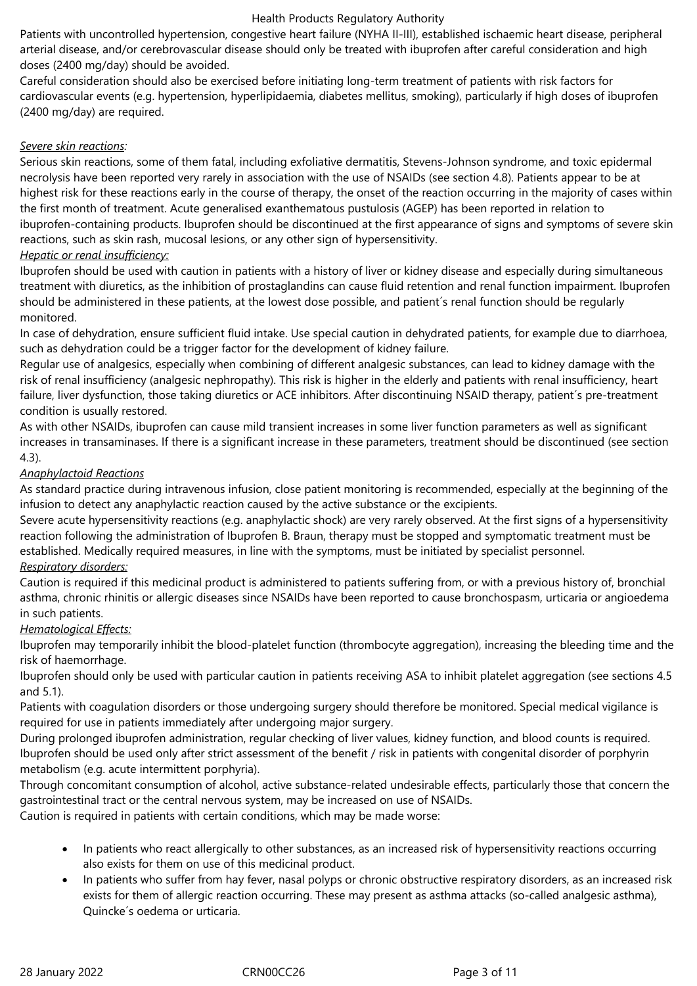Patients with uncontrolled hypertension, congestive heart failure (NYHA II-III), established ischaemic heart disease, peripheral arterial disease, and/or cerebrovascular disease should only be treated with ibuprofen after careful consideration and high doses (2400 mg/day) should be avoided.

Careful consideration should also be exercised before initiating long-term treatment of patients with risk factors for cardiovascular events (e.g. hypertension, hyperlipidaemia, diabetes mellitus, smoking), particularly if high doses of ibuprofen (2400 mg/day) are required.

### *Severe skin reactions:*

Serious skin reactions, some of them fatal, including exfoliative dermatitis, Stevens-Johnson syndrome, and toxic epidermal necrolysis have been reported very rarely in association with the use of NSAIDs (see section 4.8). Patients appear to be at highest risk for these reactions early in the course of therapy, the onset of the reaction occurring in the majority of cases within the first month of treatment. Acute generalised exanthematous pustulosis (AGEP) has been reported in relation to ibuprofen-containing products. Ibuprofen should be discontinued at the first appearance of signs and symptoms of severe skin reactions, such as skin rash, mucosal lesions, or any other sign of hypersensitivity.

### *Hepatic or renal insufficiency:*

Ibuprofen should be used with caution in patients with a history of liver or kidney disease and especially during simultaneous treatment with diuretics, as the inhibition of prostaglandins can cause fluid retention and renal function impairment. Ibuprofen should be administered in these patients, at the lowest dose possible, and patient´s renal function should be regularly monitored.

In case of dehydration, ensure sufficient fluid intake. Use special caution in dehydrated patients, for example due to diarrhoea, such as dehydration could be a trigger factor for the development of kidney failure.

Regular use of analgesics, especially when combining of different analgesic substances, can lead to kidney damage with the risk of renal insufficiency (analgesic nephropathy). This risk is higher in the elderly and patients with renal insufficiency, heart failure, liver dysfunction, those taking diuretics or ACE inhibitors. After discontinuing NSAID therapy, patient's pre-treatment condition is usually restored.

As with other NSAIDs, ibuprofen can cause mild transient increases in some liver function parameters as well as significant increases in transaminases. If there is a significant increase in these parameters, treatment should be discontinued (see section 4.3).

### *Anaphylactoid Reactions*

As standard practice during intravenous infusion, close patient monitoring is recommended, especially at the beginning of the infusion to detect any anaphylactic reaction caused by the active substance or the excipients.

Severe acute hypersensitivity reactions (e.g. anaphylactic shock) are very rarely observed. At the first signs of a hypersensitivity reaction following the administration of Ibuprofen B. Braun, therapy must be stopped and symptomatic treatment must be established. Medically required measures, in line with the symptoms, must be initiated by specialist personnel.

# *Respiratory disorders:*

Caution is required if this medicinal product is administered to patients suffering from, or with a previous history of, bronchial asthma, chronic rhinitis or allergic diseases since NSAIDs have been reported to cause bronchospasm, urticaria or angioedema in such patients.

# *Hematological Effects:*

Ibuprofen may temporarily inhibit the blood-platelet function (thrombocyte aggregation), increasing the bleeding time and the risk of haemorrhage.

Ibuprofen should only be used with particular caution in patients receiving ASA to inhibit platelet aggregation (see sections 4.5 and 5.1).

Patients with coagulation disorders or those undergoing surgery should therefore be monitored. Special medical vigilance is required for use in patients immediately after undergoing major surgery.

During prolonged ibuprofen administration, regular checking of liver values, kidney function, and blood counts is required. Ibuprofen should be used only after strict assessment of the benefit / risk in patients with congenital disorder of porphyrin metabolism (e.g. acute intermittent porphyria).

Through concomitant consumption of alcohol, active substance-related undesirable effects, particularly those that concern the gastrointestinal tract or the central nervous system, may be increased on use of NSAIDs. Caution is required in patients with certain conditions, which may be made worse:

- In patients who react allergically to other substances, as an increased risk of hypersensitivity reactions occurring also exists for them on use of this medicinal product.
- In patients who suffer from hay fever, nasal polyps or chronic obstructive respiratory disorders, as an increased risk exists for them of allergic reaction occurring. These may present as asthma attacks (so-called analgesic asthma), Quincke´s oedema or urticaria.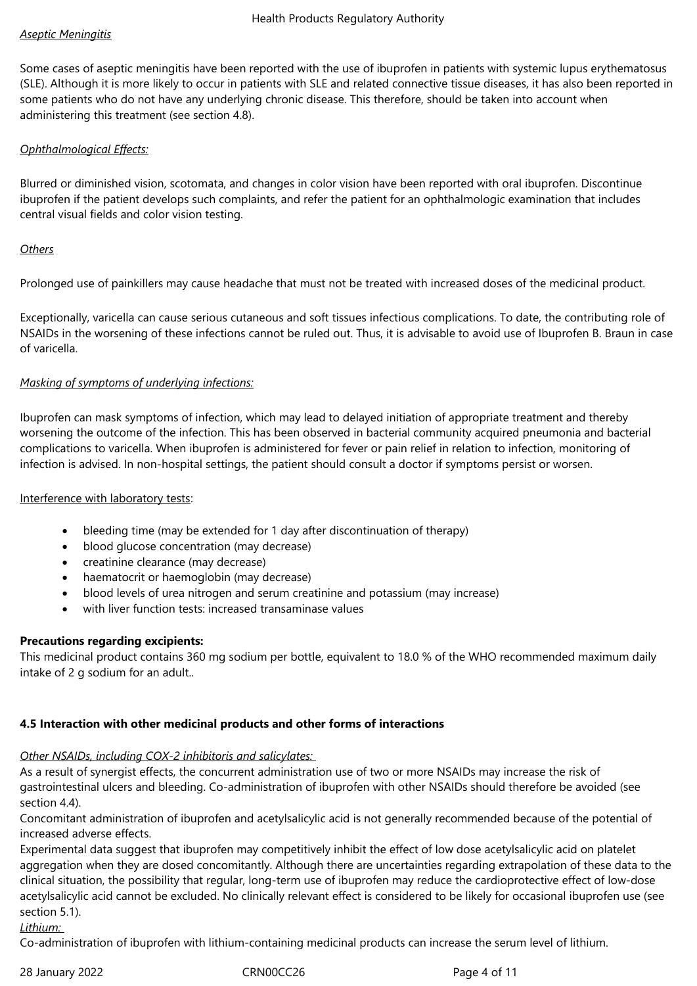### *Aseptic Meningitis*

Some cases of aseptic meningitis have been reported with the use of ibuprofen in patients with systemic lupus erythematosus (SLE). Although it is more likely to occur in patients with SLE and related connective tissue diseases, it has also been reported in some patients who do not have any underlying chronic disease. This therefore, should be taken into account when administering this treatment (see section 4.8).

### *Ophthalmological Effects:*

Blurred or diminished vision, scotomata, and changes in color vision have been reported with oral ibuprofen. Discontinue ibuprofen if the patient develops such complaints, and refer the patient for an ophthalmologic examination that includes central visual fields and color vision testing.

### *Others*

Prolonged use of painkillers may cause headache that must not be treated with increased doses of the medicinal product.

Exceptionally, varicella can cause serious cutaneous and soft tissues infectious complications. To date, the contributing role of NSAIDs in the worsening of these infections cannot be ruled out. Thus, it is advisable to avoid use of Ibuprofen B. Braun in case of varicella.

### *Masking of symptoms of underlying infections:*

Ibuprofen can mask symptoms of infection, which may lead to delayed initiation of appropriate treatment and thereby worsening the outcome of the infection. This has been observed in bacterial community acquired pneumonia and bacterial complications to varicella. When ibuprofen is administered for fever or pain relief in relation to infection, monitoring of infection is advised. In non-hospital settings, the patient should consult a doctor if symptoms persist or worsen.

### Interference with laboratory tests:

- bleeding time (may be extended for 1 day after discontinuation of therapy)
- blood glucose concentration (may decrease)
- creatinine clearance (may decrease)
- haematocrit or haemoglobin (may decrease)
- blood levels of urea nitrogen and serum creatinine and potassium (may increase)
- with liver function tests: increased transaminase values

### **Precautions regarding excipients:**

This medicinal product contains 360 mg sodium per bottle, equivalent to 18.0 % of the WHO recommended maximum daily intake of 2 g sodium for an adult..

# **4.5 Interaction with other medicinal products and other forms of interactions**

# *Other NSAIDs, including COX-2 inhibitoris and salicylates:*

As a result of synergist effects, the concurrent administration use of two or more NSAIDs may increase the risk of gastrointestinal ulcers and bleeding. Co-administration of ibuprofen with other NSAIDs should therefore be avoided (see section 4.4).

Concomitant administration of ibuprofen and acetylsalicylic acid is not generally recommended because of the potential of increased adverse effects.

Experimental data suggest that ibuprofen may competitively inhibit the effect of low dose acetylsalicylic acid on platelet aggregation when they are dosed concomitantly. Although there are uncertainties regarding extrapolation of these data to the clinical situation, the possibility that regular, long-term use of ibuprofen may reduce the cardioprotective effect of low-dose acetylsalicylic acid cannot be excluded. No clinically relevant effect is considered to be likely for occasional ibuprofen use (see section 5.1).

*Lithium:* 

Co-administration of ibuprofen with lithium-containing medicinal products can increase the serum level of lithium.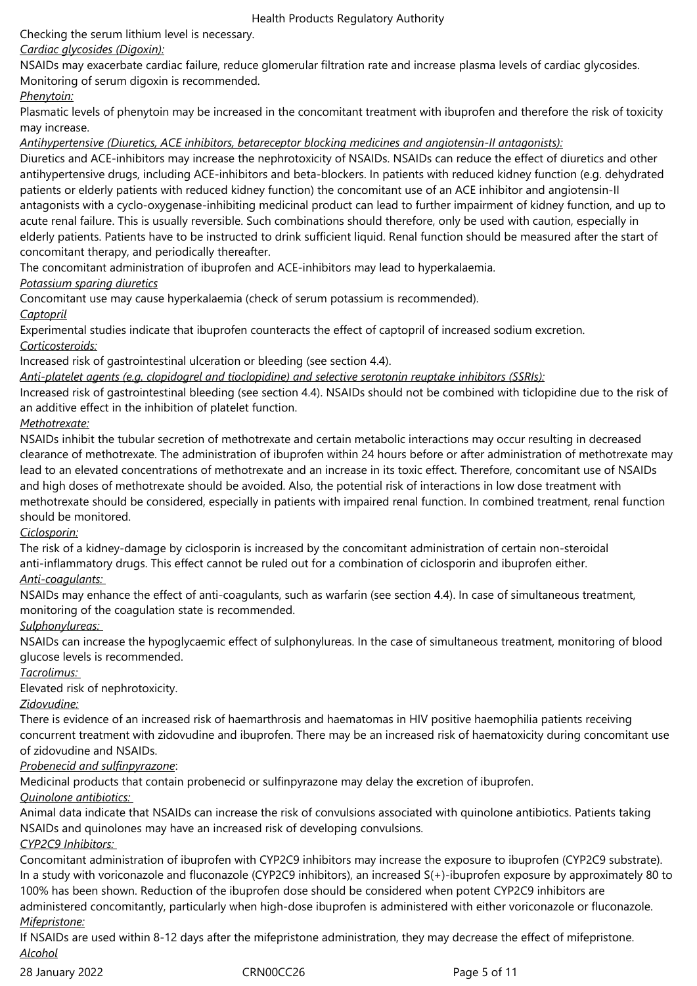Checking the serum lithium level is necessary.

# *Cardiac glycosides (Digoxin):*

NSAIDs may exacerbate cardiac failure, reduce glomerular filtration rate and increase plasma levels of cardiac glycosides. Monitoring of serum digoxin is recommended.

# *Phenytoin:*

Plasmatic levels of phenytoin may be increased in the concomitant treatment with ibuprofen and therefore the risk of toxicity may increase.

*Antihypertensive (Diuretics, ACE inhibitors, betareceptor blocking medicines and angiotensin-II antagonists):*

Diuretics and ACE-inhibitors may increase the nephrotoxicity of NSAIDs. NSAIDs can reduce the effect of diuretics and other antihypertensive drugs, including ACE-inhibitors and beta-blockers. In patients with reduced kidney function (e.g. dehydrated patients or elderly patients with reduced kidney function) the concomitant use of an ACE inhibitor and angiotensin-II antagonists with a cyclo-oxygenase-inhibiting medicinal product can lead to further impairment of kidney function, and up to acute renal failure. This is usually reversible. Such combinations should therefore, only be used with caution, especially in elderly patients. Patients have to be instructed to drink sufficient liquid. Renal function should be measured after the start of concomitant therapy, and periodically thereafter.

The concomitant administration of ibuprofen and ACE-inhibitors may lead to hyperkalaemia.

*Potassium sparing diuretics*

Concomitant use may cause hyperkalaemia (check of serum potassium is recommended).

# *Captopril*

Experimental studies indicate that ibuprofen counteracts the effect of captopril of increased sodium excretion. *Corticosteroids:*

Increased risk of gastrointestinal ulceration or bleeding (see section 4.4).

*Anti-platelet agents (e.g. clopidogrel and tioclopidine) and selective serotonin reuptake inhibitors (SSRIs):*

Increased risk of gastrointestinal bleeding (see section 4.4). NSAIDs should not be combined with ticlopidine due to the risk of an additive effect in the inhibition of platelet function.

# *Methotrexate:*

NSAIDs inhibit the tubular secretion of methotrexate and certain metabolic interactions may occur resulting in decreased clearance of methotrexate. The administration of ibuprofen within 24 hours before or after administration of methotrexate may lead to an elevated concentrations of methotrexate and an increase in its toxic effect. Therefore, concomitant use of NSAIDs and high doses of methotrexate should be avoided. Also, the potential risk of interactions in low dose treatment with methotrexate should be considered, especially in patients with impaired renal function. In combined treatment, renal function should be monitored.

*Ciclosporin:*

The risk of a kidney-damage by ciclosporin is increased by the concomitant administration of certain non-steroidal anti-inflammatory drugs. This effect cannot be ruled out for a combination of ciclosporin and ibuprofen either. *Anti-coagulants:* 

NSAIDs may enhance the effect of anti-coagulants, such as warfarin (see section 4.4). In case of simultaneous treatment, monitoring of the coagulation state is recommended.

# *Sulphonylureas:*

NSAIDs can increase the hypoglycaemic effect of sulphonylureas. In the case of simultaneous treatment, monitoring of blood glucose levels is recommended.

# *Tacrolimus:*

Elevated risk of nephrotoxicity.

*Zidovudine:*

There is evidence of an increased risk of haemarthrosis and haematomas in HIV positive haemophilia patients receiving concurrent treatment with zidovudine and ibuprofen. There may be an increased risk of haematoxicity during concomitant use of zidovudine and NSAIDs.

# *Probenecid and sulfinpyrazone*:

Medicinal products that contain probenecid or sulfinpyrazone may delay the excretion of ibuprofen.

# *Quinolone antibiotics:*

Animal data indicate that NSAIDs can increase the risk of convulsions associated with quinolone antibiotics. Patients taking NSAIDs and quinolones may have an increased risk of developing convulsions.

*CYP2C9 Inhibitors:* 

Concomitant administration of ibuprofen with CYP2C9 inhibitors may increase the exposure to ibuprofen (CYP2C9 substrate). In a study with voriconazole and fluconazole (CYP2C9 inhibitors), an increased S(+)-ibuprofen exposure by approximately 80 to 100% has been shown. Reduction of the ibuprofen dose should be considered when potent CYP2C9 inhibitors are administered concomitantly, particularly when high-dose ibuprofen is administered with either voriconazole or fluconazole.

# *Mifepristone:*

If NSAIDs are used within 8-12 days after the mifepristone administration, they may decrease the effect of mifepristone. *Alcohol*

28 January 2022 CRN00CC26 Page 5 of 11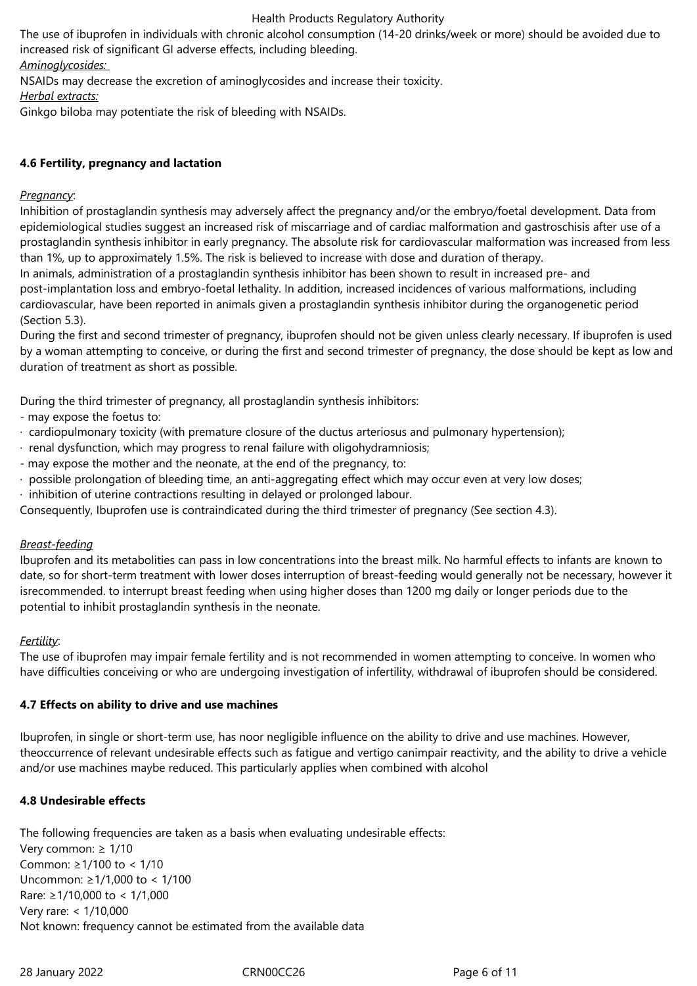The use of ibuprofen in individuals with chronic alcohol consumption (14-20 drinks/week or more) should be avoided due to increased risk of significant GI adverse effects, including bleeding. *Aminoglycosides:* 

NSAIDs may decrease the excretion of aminoglycosides and increase their toxicity.

*Herbal extracts:*

Ginkgo biloba may potentiate the risk of bleeding with NSAIDs.

# **4.6 Fertility, pregnancy and lactation**

### *Pregnancy*:

Inhibition of prostaglandin synthesis may adversely affect the pregnancy and/or the embryo/foetal development. Data from epidemiological studies suggest an increased risk of miscarriage and of cardiac malformation and gastroschisis after use of a prostaglandin synthesis inhibitor in early pregnancy. The absolute risk for cardiovascular malformation was increased from less than 1%, up to approximately 1.5%. The risk is believed to increase with dose and duration of therapy.

In animals, administration of a prostaglandin synthesis inhibitor has been shown to result in increased pre- and post-implantation loss and embryo-foetal lethality. In addition, increased incidences of various malformations, including cardiovascular, have been reported in animals given a prostaglandin synthesis inhibitor during the organogenetic period (Section 5.3).

During the first and second trimester of pregnancy, ibuprofen should not be given unless clearly necessary. If ibuprofen is used by a woman attempting to conceive, or during the first and second trimester of pregnancy, the dose should be kept as low and duration of treatment as short as possible.

During the third trimester of pregnancy, all prostaglandin synthesis inhibitors:

- may expose the foetus to:
- · cardiopulmonary toxicity (with premature closure of the ductus arteriosus and pulmonary hypertension);
- · renal dysfunction, which may progress to renal failure with oligohydramniosis;
- may expose the mother and the neonate, at the end of the pregnancy, to:
- · possible prolongation of bleeding time, an anti-aggregating effect which may occur even at very low doses;
- · inhibition of uterine contractions resulting in delayed or prolonged labour.

Consequently, Ibuprofen use is contraindicated during the third trimester of pregnancy (See section 4.3).

### *Breast-feeding*

Ibuprofen and its metabolities can pass in low concentrations into the breast milk. No harmful effects to infants are known to date, so for short-term treatment with lower doses interruption of breast-feeding would generally not be necessary, however it isrecommended. to interrupt breast feeding when using higher doses than 1200 mg daily or longer periods due to the potential to inhibit prostaglandin synthesis in the neonate.

### *Fertility*:

The use of ibuprofen may impair female fertility and is not recommended in women attempting to conceive. In women who have difficulties conceiving or who are undergoing investigation of infertility, withdrawal of ibuprofen should be considered.

# **4.7 Effects on ability to drive and use machines**

Ibuprofen, in single or short-term use, has noor negligible influence on the ability to drive and use machines. However, theoccurrence of relevant undesirable effects such as fatigue and vertigo canimpair reactivity, and the ability to drive a vehicle and/or use machines maybe reduced. This particularly applies when combined with alcohol

# **4.8 Undesirable effects**

The following frequencies are taken as a basis when evaluating undesirable effects: Very common: ≥ 1/10 Common: ≥1/100 to < 1/10 Uncommon: ≥1/1,000 to < 1/100 Rare: ≥1/10,000 to < 1/1,000 Very rare: < 1/10,000 Not known: frequency cannot be estimated from the available data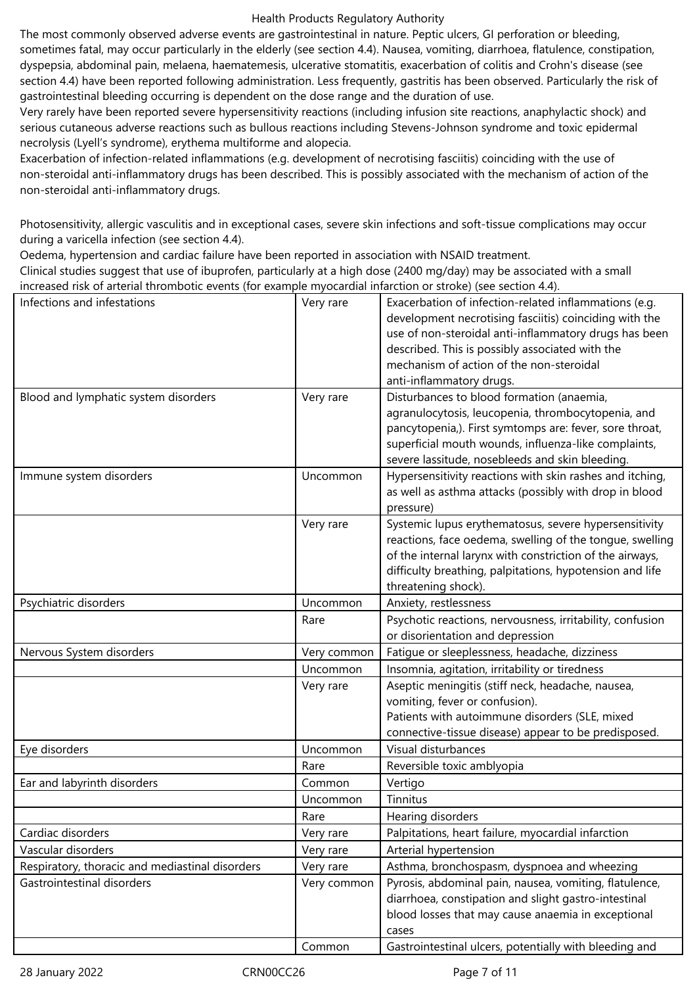The most commonly observed adverse events are gastrointestinal in nature. Peptic ulcers, GI perforation or bleeding, sometimes fatal, may occur particularly in the elderly (see section 4.4). Nausea, vomiting, diarrhoea, flatulence, constipation, dyspepsia, abdominal pain, melaena, haematemesis, ulcerative stomatitis, exacerbation of colitis and Crohn's disease (see section 4.4) have been reported following administration. Less frequently, gastritis has been observed. Particularly the risk of gastrointestinal bleeding occurring is dependent on the dose range and the duration of use.

Very rarely have been reported severe hypersensitivity reactions (including infusion site reactions, anaphylactic shock) and serious cutaneous adverse reactions such as bullous reactions including Stevens-Johnson syndrome and toxic epidermal necrolysis (Lyell's syndrome), erythema multiforme and alopecia.

Exacerbation of infection-related inflammations (e.g. development of necrotising fasciitis) coinciding with the use of non-steroidal anti-inflammatory drugs has been described. This is possibly associated with the mechanism of action of the non-steroidal anti-inflammatory drugs.

Photosensitivity, allergic vasculitis and in exceptional cases, severe skin infections and soft-tissue complications may occur during a varicella infection (see section 4.4).

Oedema, hypertension and cardiac failure have been reported in association with NSAID treatment.

Clinical studies suggest that use of ibuprofen, particularly at a high dose (2400 mg/day) may be associated with a small increased risk of arterial thrombotic events (for example myocardial infarction or stroke) (see section 4.4).

| Infections and infestations                     | Very rare   | Exacerbation of infection-related inflammations (e.g.<br>development necrotising fasciitis) coinciding with the<br>use of non-steroidal anti-inflammatory drugs has been<br>described. This is possibly associated with the<br>mechanism of action of the non-steroidal<br>anti-inflammatory drugs. |
|-------------------------------------------------|-------------|-----------------------------------------------------------------------------------------------------------------------------------------------------------------------------------------------------------------------------------------------------------------------------------------------------|
| Blood and lymphatic system disorders            | Very rare   | Disturbances to blood formation (anaemia,<br>agranulocytosis, leucopenia, thrombocytopenia, and<br>pancytopenia,). First symtomps are: fever, sore throat,<br>superficial mouth wounds, influenza-like complaints,<br>severe lassitude, nosebleeds and skin bleeding.                               |
| Immune system disorders                         | Uncommon    | Hypersensitivity reactions with skin rashes and itching,<br>as well as asthma attacks (possibly with drop in blood<br>pressure)                                                                                                                                                                     |
|                                                 | Very rare   | Systemic lupus erythematosus, severe hypersensitivity<br>reactions, face oedema, swelling of the tongue, swelling<br>of the internal larynx with constriction of the airways,<br>difficulty breathing, palpitations, hypotension and life<br>threatening shock).                                    |
| Psychiatric disorders                           | Uncommon    | Anxiety, restlessness                                                                                                                                                                                                                                                                               |
|                                                 | Rare        | Psychotic reactions, nervousness, irritability, confusion<br>or disorientation and depression                                                                                                                                                                                                       |
| Nervous System disorders                        | Very common | Fatigue or sleeplessness, headache, dizziness                                                                                                                                                                                                                                                       |
|                                                 | Uncommon    | Insomnia, agitation, irritability or tiredness                                                                                                                                                                                                                                                      |
|                                                 | Very rare   | Aseptic meningitis (stiff neck, headache, nausea,<br>vomiting, fever or confusion).<br>Patients with autoimmune disorders (SLE, mixed<br>connective-tissue disease) appear to be predisposed.                                                                                                       |
| Eye disorders                                   | Uncommon    | Visual disturbances                                                                                                                                                                                                                                                                                 |
|                                                 | Rare        | Reversible toxic amblyopia                                                                                                                                                                                                                                                                          |
| Ear and labyrinth disorders                     | Common      | Vertigo                                                                                                                                                                                                                                                                                             |
|                                                 | Uncommon    | Tinnitus                                                                                                                                                                                                                                                                                            |
|                                                 | Rare        | Hearing disorders                                                                                                                                                                                                                                                                                   |
| Cardiac disorders                               | Very rare   | Palpitations, heart failure, myocardial infarction                                                                                                                                                                                                                                                  |
| Vascular disorders                              | Very rare   | Arterial hypertension                                                                                                                                                                                                                                                                               |
| Respiratory, thoracic and mediastinal disorders | Very rare   | Asthma, bronchospasm, dyspnoea and wheezing                                                                                                                                                                                                                                                         |
| Gastrointestinal disorders                      | Very common | Pyrosis, abdominal pain, nausea, vomiting, flatulence,<br>diarrhoea, constipation and slight gastro-intestinal<br>blood losses that may cause anaemia in exceptional<br>cases                                                                                                                       |
|                                                 | Common      | Gastrointestinal ulcers, potentially with bleeding and                                                                                                                                                                                                                                              |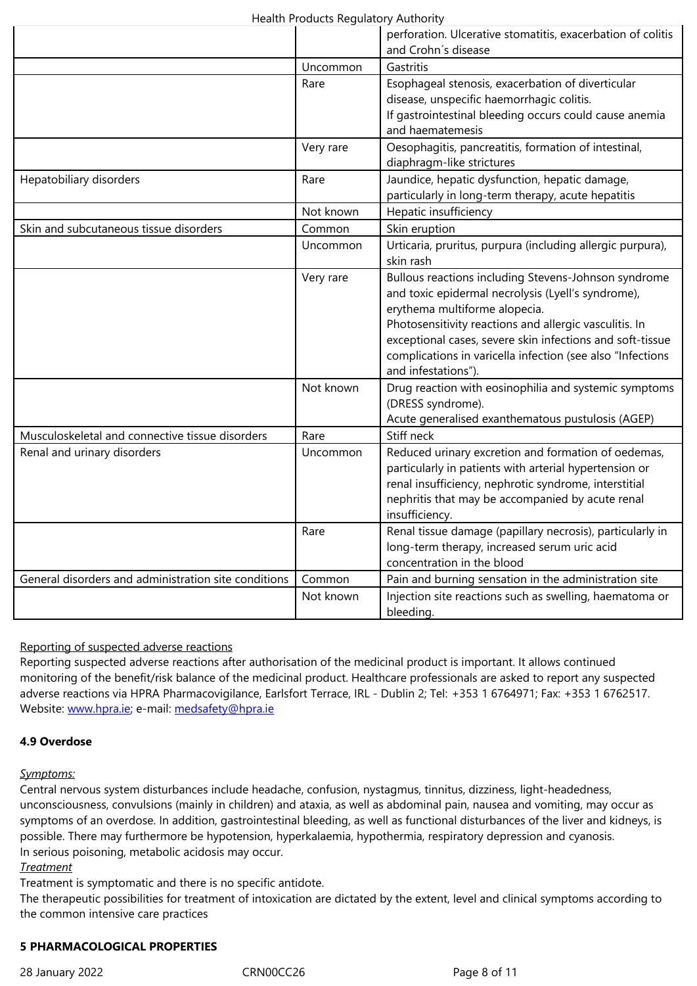|                                                      | Uncommon  | Gastritis                                                                                                                                                                                                                                                                                                                                               |
|------------------------------------------------------|-----------|---------------------------------------------------------------------------------------------------------------------------------------------------------------------------------------------------------------------------------------------------------------------------------------------------------------------------------------------------------|
|                                                      | Rare      | Esophageal stenosis, exacerbation of diverticular<br>disease, unspecific haemorrhagic colitis.<br>If gastrointestinal bleeding occurs could cause anemia<br>and haematemesis                                                                                                                                                                            |
|                                                      | Very rare | Oesophagitis, pancreatitis, formation of intestinal,<br>diaphragm-like strictures                                                                                                                                                                                                                                                                       |
| Hepatobiliary disorders                              | Rare      | Jaundice, hepatic dysfunction, hepatic damage,<br>particularly in long-term therapy, acute hepatitis                                                                                                                                                                                                                                                    |
|                                                      | Not known | Hepatic insufficiency                                                                                                                                                                                                                                                                                                                                   |
| Skin and subcutaneous tissue disorders               | Common    | Skin eruption                                                                                                                                                                                                                                                                                                                                           |
|                                                      | Uncommon  | Urticaria, pruritus, purpura (including allergic purpura),<br>skin rash                                                                                                                                                                                                                                                                                 |
|                                                      | Very rare | Bullous reactions including Stevens-Johnson syndrome<br>and toxic epidermal necrolysis (Lyell's syndrome),<br>erythema multiforme alopecia.<br>Photosensitivity reactions and allergic vasculitis. In<br>exceptional cases, severe skin infections and soft-tissue<br>complications in varicella infection (see also "Infections<br>and infestations"). |
|                                                      | Not known | Drug reaction with eosinophilia and systemic symptoms<br>(DRESS syndrome).<br>Acute generalised exanthematous pustulosis (AGEP)                                                                                                                                                                                                                         |
| Musculoskeletal and connective tissue disorders      | Rare      | Stiff neck                                                                                                                                                                                                                                                                                                                                              |
| Renal and urinary disorders                          | Uncommon  | Reduced urinary excretion and formation of oedemas,<br>particularly in patients with arterial hypertension or<br>renal insufficiency, nephrotic syndrome, interstitial<br>nephritis that may be accompanied by acute renal<br>insufficiency.                                                                                                            |
|                                                      | Rare      | Renal tissue damage (papillary necrosis), particularly in<br>long-term therapy, increased serum uric acid<br>concentration in the blood                                                                                                                                                                                                                 |
| General disorders and administration site conditions | Common    | Pain and burning sensation in the administration site                                                                                                                                                                                                                                                                                                   |
|                                                      | Not known | Injection site reactions such as swelling, haematoma or<br>bleeding.                                                                                                                                                                                                                                                                                    |

# Reporting of suspected adverse reactions

Reporting suspected adverse reactions after authorisation of the medicinal product is important. It allows continued monitoring of the benefit/risk balance of the medicinal product. Healthcare professionals are asked to report any suspected adverse reactions via HPRA Pharmacovigilance, Earlsfort Terrace, IRL - Dublin 2; Tel: +353 1 6764971; Fax: +353 1 6762517. Website: www.hpra.ie; e-mail: medsafety@hpra.ie

### **4.9 Overdose**

### *Sympto[ms:](http://www.hpra.ie/)*

Central nervous system disturbances include headache, confusion, nystagmus, tinnitus, dizziness, light-headedness, unconsciousness, convulsions (mainly in children) and ataxia, as well as abdominal pain, nausea and vomiting, may occur as symptoms of an overdose. In addition, gastrointestinal bleeding, as well as functional disturbances of the liver and kidneys, is possible. There may furthermore be hypotension, hyperkalaemia, hypothermia, respiratory depression and cyanosis. In serious poisoning, metabolic acidosis may occur.

### *Treatment*

Treatment is symptomatic and there is no specific antidote.

The therapeutic possibilities for treatment of intoxication are dictated by the extent, level and clinical symptoms according to the common intensive care practices

# **5 PHARMACOLOGICAL PROPERTIES**

28 January 2022 CRN00CC26 Page 8 of 11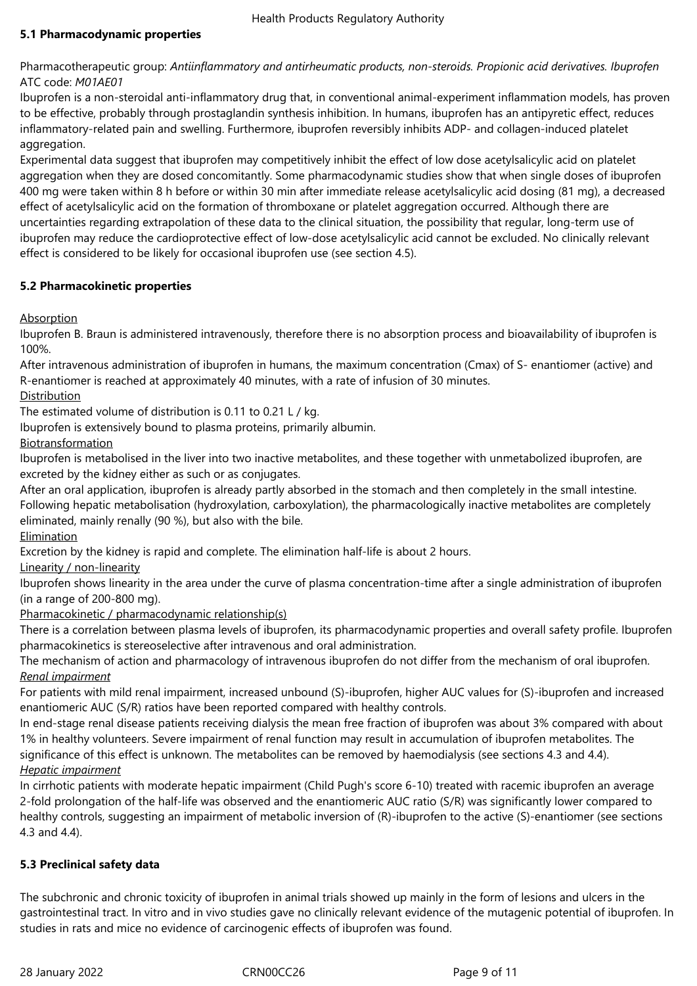# **5.1 Pharmacodynamic properties**

Pharmacotherapeutic group: *Antiinflammatory and antirheumatic products, non-steroids. Propionic acid derivatives. Ibuprofen* ATC code: *M01AE01*

Ibuprofen is a non-steroidal anti-inflammatory drug that, in conventional animal-experiment inflammation models, has proven to be effective, probably through prostaglandin synthesis inhibition. In humans, ibuprofen has an antipyretic effect, reduces inflammatory-related pain and swelling. Furthermore, ibuprofen reversibly inhibits ADP- and collagen-induced platelet aggregation.

Experimental data suggest that ibuprofen may competitively inhibit the effect of low dose acetylsalicylic acid on platelet aggregation when they are dosed concomitantly. Some pharmacodynamic studies show that when single doses of ibuprofen 400 mg were taken within 8 h before or within 30 min after immediate release acetylsalicylic acid dosing (81 mg), a decreased effect of acetylsalicylic acid on the formation of thromboxane or platelet aggregation occurred. Although there are uncertainties regarding extrapolation of these data to the clinical situation, the possibility that regular, long-term use of ibuprofen may reduce the cardioprotective effect of low-dose acetylsalicylic acid cannot be excluded. No clinically relevant effect is considered to be likely for occasional ibuprofen use (see section 4.5).

# **5.2 Pharmacokinetic properties**

# Absorption

Ibuprofen B. Braun is administered intravenously, therefore there is no absorption process and bioavailability of ibuprofen is 100%.

After intravenous administration of ibuprofen in humans, the maximum concentration (Cmax) of S- enantiomer (active) and R-enantiomer is reached at approximately 40 minutes, with a rate of infusion of 30 minutes.

# Distribution

The estimated volume of distribution is 0.11 to 0.21 L / kg.

Ibuprofen is extensively bound to plasma proteins, primarily albumin.

# Biotransformation

Ibuprofen is metabolised in the liver into two inactive metabolites, and these together with unmetabolized ibuprofen, are excreted by the kidney either as such or as conjugates.

After an oral application, ibuprofen is already partly absorbed in the stomach and then completely in the small intestine. Following hepatic metabolisation (hydroxylation, carboxylation), the pharmacologically inactive metabolites are completely eliminated, mainly renally (90 %), but also with the bile.

Elimination

Excretion by the kidney is rapid and complete. The elimination half-life is about 2 hours.

Linearity / non-linearity

Ibuprofen shows linearity in the area under the curve of plasma concentration-time after a single administration of ibuprofen (in a range of 200‑800 mg).

# Pharmacokinetic / pharmacodynamic relationship(s)

There is a correlation between plasma levels of ibuprofen, its pharmacodynamic properties and overall safety profile. Ibuprofen pharmacokinetics is stereoselective after intravenous and oral administration.

The mechanism of action and pharmacology of intravenous ibuprofen do not differ from the mechanism of oral ibuprofen. *Renal impairment*

For patients with mild renal impairment, increased unbound (S)-ibuprofen, higher AUC values for (S)-ibuprofen and increased enantiomeric AUC (S/R) ratios have been reported compared with healthy controls.

In end-stage renal disease patients receiving dialysis the mean free fraction of ibuprofen was about 3% compared with about 1% in healthy volunteers. Severe impairment of renal function may result in accumulation of ibuprofen metabolites. The significance of this effect is unknown. The metabolites can be removed by haemodialysis (see sections 4.3 and 4.4).

# *Hepatic impairment*

In cirrhotic patients with moderate hepatic impairment (Child Pugh's score 6-10) treated with racemic ibuprofen an average 2-fold prolongation of the half-life was observed and the enantiomeric AUC ratio (S/R) was significantly lower compared to healthy controls, suggesting an impairment of metabolic inversion of (R)-ibuprofen to the active (S)-enantiomer (see sections 4.3 and 4.4).

# **5.3 Preclinical safety data**

The subchronic and chronic toxicity of ibuprofen in animal trials showed up mainly in the form of lesions and ulcers in the gastrointestinal tract. In vitro and in vivo studies gave no clinically relevant evidence of the mutagenic potential of ibuprofen. In studies in rats and mice no evidence of carcinogenic effects of ibuprofen was found.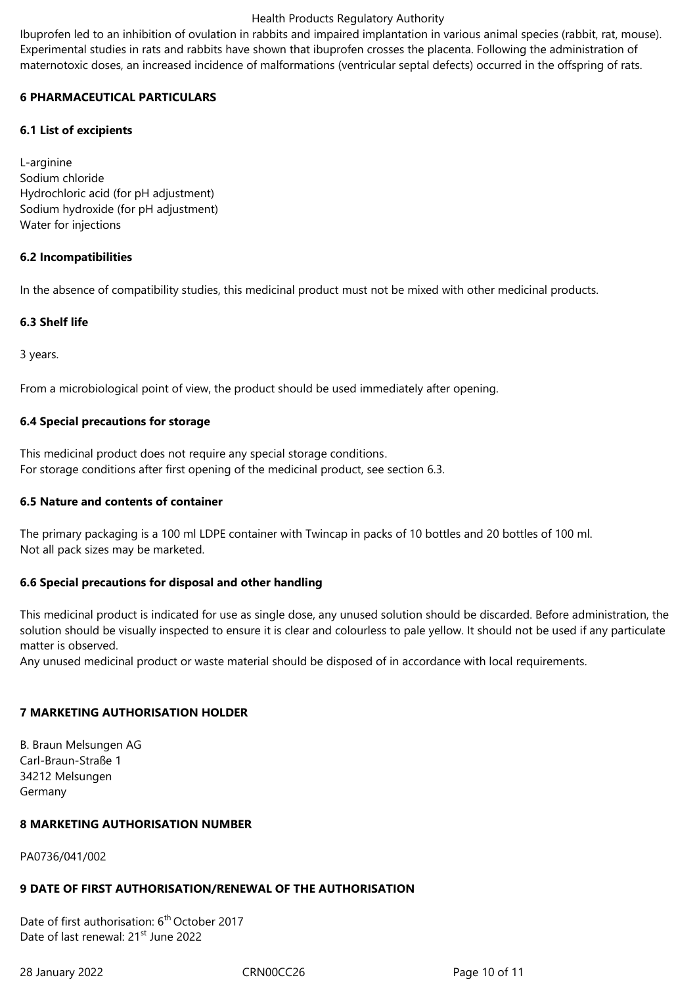Ibuprofen led to an inhibition of ovulation in rabbits and impaired implantation in various animal species (rabbit, rat, mouse). Experimental studies in rats and rabbits have shown that ibuprofen crosses the placenta. Following the administration of maternotoxic doses, an increased incidence of malformations (ventricular septal defects) occurred in the offspring of rats.

### **6 PHARMACEUTICAL PARTICULARS**

### **6.1 List of excipients**

L-arginine Sodium chloride Hydrochloric acid (for pH adjustment) Sodium hydroxide (for pH adjustment) Water for injections

### **6.2 Incompatibilities**

In the absence of compatibility studies, this medicinal product must not be mixed with other medicinal products.

### **6.3 Shelf life**

3 years.

From a microbiological point of view, the product should be used immediately after opening.

### **6.4 Special precautions for storage**

This medicinal product does not require any special storage conditions. For storage conditions after first opening of the medicinal product, see section 6.3.

### **6.5 Nature and contents of container**

The primary packaging is a 100 ml LDPE container with Twincap in packs of 10 bottles and 20 bottles of 100 ml. Not all pack sizes may be marketed.

# **6.6 Special precautions for disposal and other handling**

This medicinal product is indicated for use as single dose, any unused solution should be discarded. Before administration, the solution should be visually inspected to ensure it is clear and colourless to pale yellow. It should not be used if any particulate matter is observed.

Any unused medicinal product or waste material should be disposed of in accordance with local requirements.

# **7 MARKETING AUTHORISATION HOLDER**

B. Braun Melsungen AG Carl-Braun-Straße 1 34212 Melsungen Germany

### **8 MARKETING AUTHORISATION NUMBER**

PA0736/041/002

# **9 DATE OF FIRST AUTHORISATION/RENEWAL OF THE AUTHORISATION**

Date of first authorisation: 6<sup>th</sup> October 2017 Date of last renewal: 21<sup>st</sup> June 2022

28 January 2022 CRN00CC26 Page 10 of 11